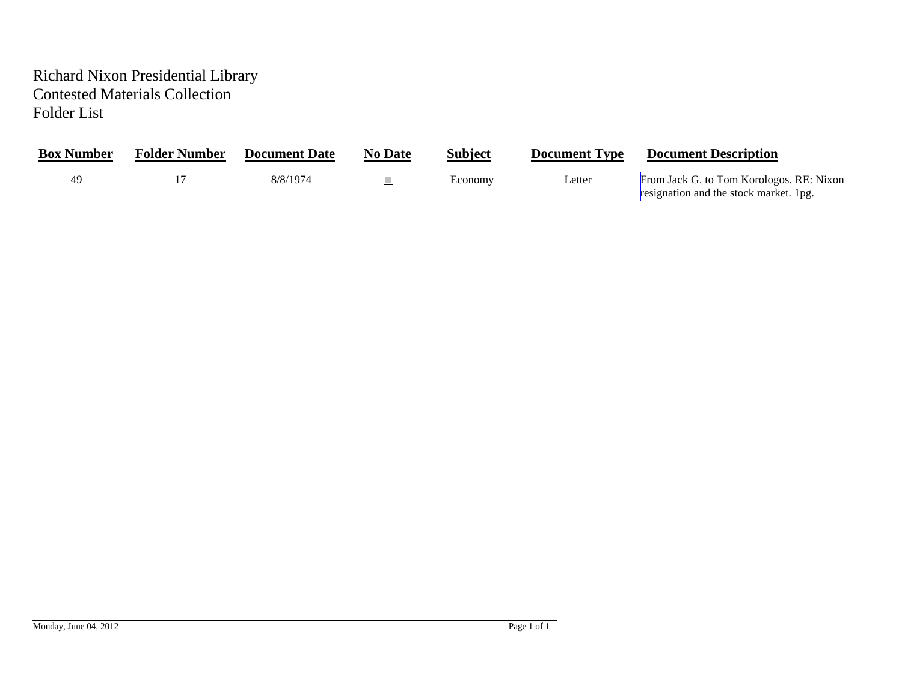## Richard Nixon Presidential Library Contested Materials Collection Folder List

| <b>Box Number</b> | <b>Folder Number</b> | <b>Document Date</b> | <b>No Date</b> | <b>Subject</b> | <b>Document Type</b> | <b>Document Description</b>                                                        |
|-------------------|----------------------|----------------------|----------------|----------------|----------------------|------------------------------------------------------------------------------------|
| 40                |                      | 8/8/1974             |                | Economy        | Letter               | From Jack G. to Tom Korologos. RE: Nixon<br>resignation and the stock market. 1pg. |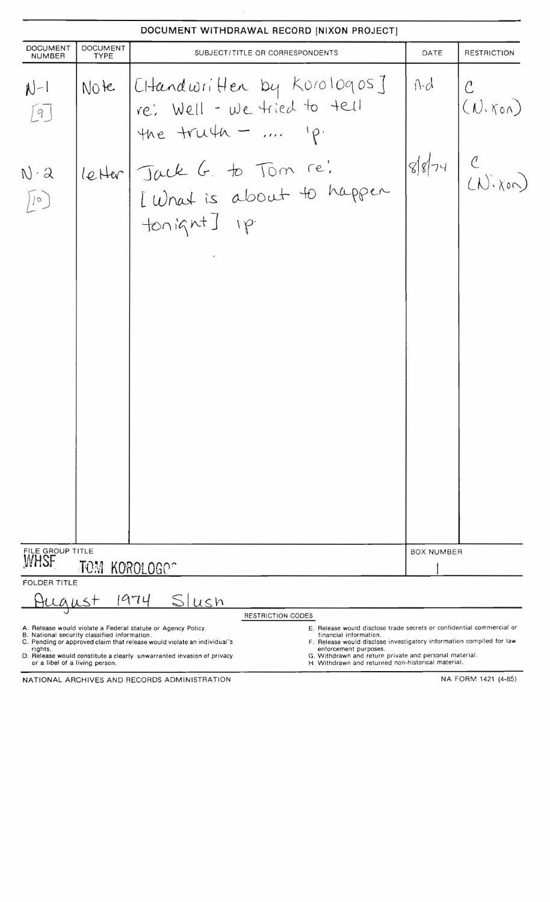# **DOCUMENT WITHDRAWAL RECORD [NIXON PRO.IECT]**  DOCUMENT DOCUMENT SUBJECT/TITLE OR CORRESPONDENTS DATE RESTRICTION Note *[Chand written by Korologos]* A.d C  $N-1$  $(N:\text{non})$ fe', WQ.[l - *uJL* ~;eJ +0 -tUI 19 the truth -  $\ldots$  'p.  $89 - 4$ re, Jack G  $N \cdot \mathcal{Q}$ [ What is  $+$ on ignt] FILE GROUP TITLE BOX NUMBER **YifHSF TOM** KQ!ROLOGr~ FOLDER TITLE <u>August</u> 1974 <u>Silusn</u> RESTRICTION CODES A. Release would violate a Federal statute or Agency Policy . E. Release would disclose trade secrets or confidential commercial or B. National security classified information. financial information. C. Pending or approved claim that release would violate an individual's F. Release would disclose investigatory information compiled for law

rights . enforcement purposes. D. Release would constitute a clearly unwarranted invasion of privacy G. Withdrawn and return private and personal material. or a libel of a living person. H . Withdrawn and returned non-h istorical material.

NATIONAL ARCHIVES AND RECORDS ADMINISTRATION NATIONAL ARCHIVES AND RECORDS ADMINISTRATION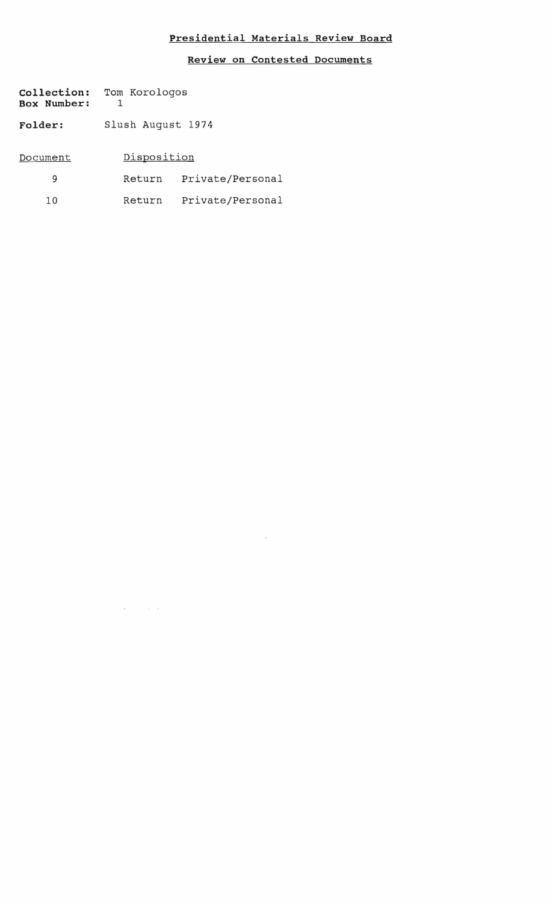### **Presidential Materials Review Board**

#### **Review on Contested Documents**

 $\mathcal{A}=\mathcal{A}$  . The  $\mathcal{A}$ 

| <b>Collection:</b><br><b>Box Number:</b> | Tom Korologos     |                  |  |  |  |
|------------------------------------------|-------------------|------------------|--|--|--|
| <b>Folder:</b>                           | Slush August 1974 |                  |  |  |  |
| Document                                 | Disposition       |                  |  |  |  |
| 9                                        | Return            | Private/Personal |  |  |  |
| 10                                       | Return            | Private/Personal |  |  |  |
|                                          |                   |                  |  |  |  |

 $\mathbf{S}^{\text{max}}$  and  $\mathbf{S}^{\text{max}}$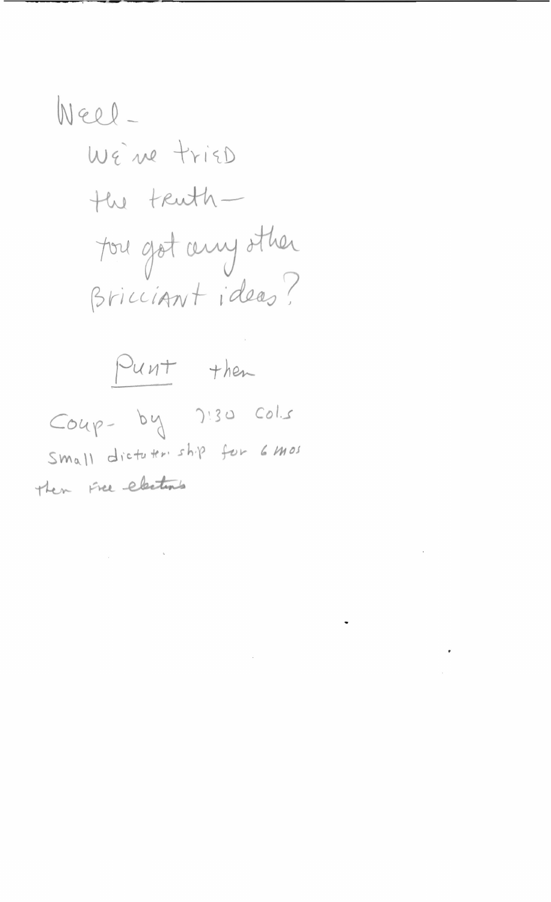# <span id="page-3-0"></span>Well-WE're triED the truthfou got any other Bricciant ideas?



 $\mathcal{L}^{\text{max}}_{\text{max}}$ 

 $\bullet$ 

 $\mathbf{a}$ 

 $\sim 10^{-11}$ 

 $\mathcal{L}^{\text{max}}_{\text{max}}$ 

 $Coup-by$   $2!30$   $Cols$ Small dicturer ship for 6 mos then free elections

 $\label{eq:3.1} \begin{array}{ccccc} \mathbf{w} & & & & \mathbf{a} & \\ & \mathbf{w} & & & \mathbf{b} & \\ \end{array}$